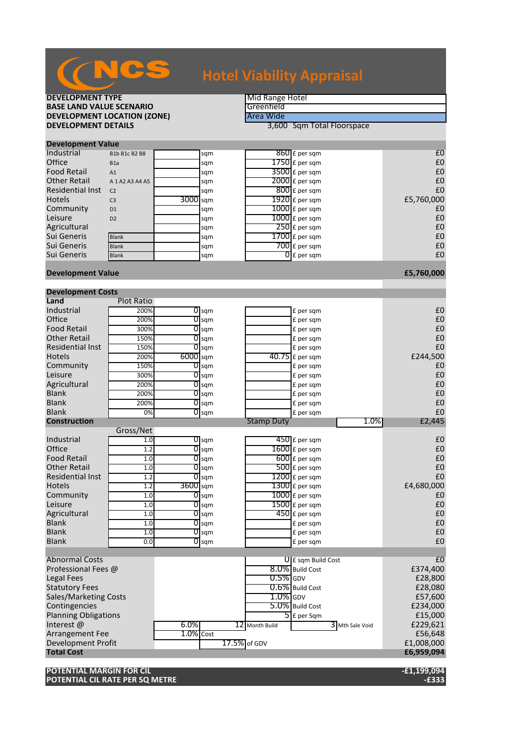| <b>DEVELOPMENT TYPE</b>                      |                     |              |                    |                   | Mid Range Hotel                         |                     |  |
|----------------------------------------------|---------------------|--------------|--------------------|-------------------|-----------------------------------------|---------------------|--|
| <b>BASE LAND VALUE SCENARIO</b>              |                     |              |                    | Greenfield        |                                         |                     |  |
| <b>DEVELOPMENT LOCATION (ZONE)</b>           |                     |              |                    | Area Wide         |                                         |                     |  |
| <b>DEVELOPMENT DETAILS</b>                   |                     |              |                    |                   | 3,600 Sqm Total Floorspace              |                     |  |
|                                              |                     |              |                    |                   |                                         |                     |  |
| <b>Development Value</b>                     |                     |              |                    |                   |                                         |                     |  |
| Industrial                                   | B1b B1c B2 B8       |              | sqm                |                   | $860$ £ per sqm                         | £0                  |  |
| Office                                       | B <sub>1</sub> a    |              | sqm                |                   | $1750$ £ per sqm                        | £0                  |  |
| <b>Food Retail</b>                           | A1                  |              | sqm                |                   | $3500$ £ per sqm                        | £0                  |  |
| <b>Other Retail</b>                          | A 1 A 2 A 3 A 4 A 5 |              | sqm                |                   | 2000 £ per sqm                          | £0                  |  |
| <b>Residential Inst</b>                      | C <sub>2</sub>      |              | sqm                |                   | $800$ £ per sqm                         | £0                  |  |
| <b>Hotels</b>                                | C <sub>3</sub>      | 3000 sqm     |                    |                   | $1920$ £ per sqm                        | £5,760,000          |  |
| Community                                    | D <sub>1</sub>      |              | sqm                |                   | $1000$ $E$ per sqm                      | £0                  |  |
| Leisure                                      | D <sub>2</sub>      |              | sqm                |                   | $1000$ $E$ per sqm                      | £0                  |  |
| Agricultural                                 |                     |              | sqm                |                   | $250$ £ per sqm                         | £0<br>£0            |  |
| Sui Generis<br>Sui Generis                   | <b>Blank</b>        |              | sqm                |                   | $1700$ £ per sqm                        |                     |  |
| Sui Generis                                  | <b>Blank</b>        |              | sqm                |                   | $700$ £ per sqm                         | £0<br>£0            |  |
|                                              | <b>Blank</b>        |              | sqm                |                   | $\overline{0}$ E per sqm                |                     |  |
| <b>Development Value</b>                     |                     |              |                    |                   |                                         | £5,760,000          |  |
|                                              |                     |              |                    |                   |                                         |                     |  |
| <b>Development Costs</b>                     |                     |              |                    |                   |                                         |                     |  |
| Land                                         | <b>Plot Ratio</b>   |              |                    |                   |                                         |                     |  |
| Industrial                                   | 200%                |              | $\overline{0}$ sqm |                   | £ per sqm                               | £0                  |  |
| Office                                       | 200%                | 0            | sqm                |                   | £ per sqm                               | £0                  |  |
| <b>Food Retail</b>                           | 300%                | 0            | sqm                |                   | £ per sqm                               | £0                  |  |
| <b>Other Retail</b>                          | 150%                | 0            | sqm                |                   | £ per sqm                               | £0                  |  |
| <b>Residential Inst</b>                      | 150%                |              | $0$ sqm            |                   | £ per sqm                               | £0                  |  |
| <b>Hotels</b>                                | 200%                | $6000$ sqm   |                    |                   | 40.75 £ per sqm                         | £244,500            |  |
| Community                                    | 150%                | 0            | sqm                |                   | £ per sqm                               | £0                  |  |
| Leisure                                      | 300%                | 0            | sqm                |                   | £ per sqm                               | £0                  |  |
| Agricultural                                 | 200%                | 0            | sqm                |                   | £ per sqm                               | £0                  |  |
| <b>Blank</b>                                 | 200%                | 0            | sqm                |                   | £ per sqm                               | £0                  |  |
| <b>Blank</b>                                 | 200%                | 0            | sqm                |                   | £ per sqm                               | £0                  |  |
| <b>Blank</b>                                 | 0%                  |              | $O$ sqm            |                   | £ per sqm                               | £0                  |  |
| <b>Construction</b>                          |                     |              |                    | <b>Stamp Duty</b> | 1.0%                                    | £2,445              |  |
|                                              | Gross/Net           |              |                    |                   |                                         |                     |  |
| Industrial                                   | 1.0                 |              | $\overline{O}$ sqm |                   | $450$ £ per sqm                         | £0                  |  |
| Office                                       | 1.2                 |              | $0$ sqm            |                   | $1600$ $E$ per sqm                      | £0                  |  |
| <b>Food Retail</b>                           | 1.0                 |              | $\overline{O}$ sqm |                   | $600$ £ per sqm                         | £0                  |  |
| <b>Other Retail</b>                          | 1.0                 | 0            | sqm                |                   | $500$ £ per sqm                         | £0                  |  |
| <b>Residential Inst</b>                      | 1.2                 |              | $\overline{O}$ sqm |                   | $1200$ £ per sqm                        | £0                  |  |
| <b>Hotels</b>                                | 1.2                 | 3600 sqm     |                    |                   | $1300$ £ per sqm                        | £4,680,000          |  |
| Community                                    | 1.0                 |              | $\overline{O}$ sqm |                   | $1000$ $E$ per sqm                      | £0                  |  |
| Leisure                                      | 1.0                 |              | $0\,\mathrm{kgm}$  |                   | $1500$ £ per sqm                        | £0                  |  |
| Agricultural                                 | 1.0                 | 0            | sqm                |                   | $450$ £ per sqm                         | £0                  |  |
| Blank                                        | 1.0                 |              | $0 \,\mathrm{sgm}$ |                   | £ per sqm                               | £0                  |  |
| <b>Blank</b>                                 | 1.0                 |              | $O$ sqm            |                   | £ per sqm                               | £0                  |  |
| <b>Blank</b>                                 | 0.0                 |              | $0$ sqm            |                   | £ per sqm                               | £0                  |  |
|                                              |                     |              |                    |                   |                                         | f <sub>0</sub>      |  |
| Abnormal Costs                               |                     |              |                    |                   | $0$ E sqm Build Cost<br>8.0% Build Cost |                     |  |
| Professional Fees @                          |                     |              |                    | $0.5\%$ GDV       |                                         | £374,400            |  |
| <b>Legal Fees</b>                            |                     |              |                    |                   | 0.6% Build Cost                         | £28,800             |  |
| <b>Statutory Fees</b>                        |                     |              |                    | $1.0\%$ GDV       |                                         | £28,080             |  |
| Sales/Marketing Costs                        |                     |              |                    |                   | 5.0% Build Cost                         | £57,600             |  |
| Contingencies<br><b>Planning Obligations</b> |                     |              |                    |                   | $\overline{\mathsf{5}}$ E per Sqm       | £234,000<br>£15,000 |  |
| Interest @                                   |                     | $6.0\%$      |                    | 12 Month Build    |                                         | £229,621            |  |
| <b>Arrangement Fee</b>                       |                     | $1.0\%$ Cost |                    |                   | 3 Mth Sale Void                         | £56,648             |  |
| Development Profit                           |                     |              |                    | 17.5% of GDV      |                                         | £1,008,000          |  |
| <b>Total Cost</b>                            |                     |              |                    |                   |                                         | £6,959,094          |  |
|                                              |                     |              |                    |                   |                                         |                     |  |
| POTENTIAL MARGIN FOR CIL                     |                     |              |                    |                   |                                         | -£1,199,094         |  |
|                                              |                     |              |                    |                   |                                         |                     |  |

**POTENTIAL CIL RATE PER SQ METRE -£333**

## NCS **Hotel Viability Appraisal**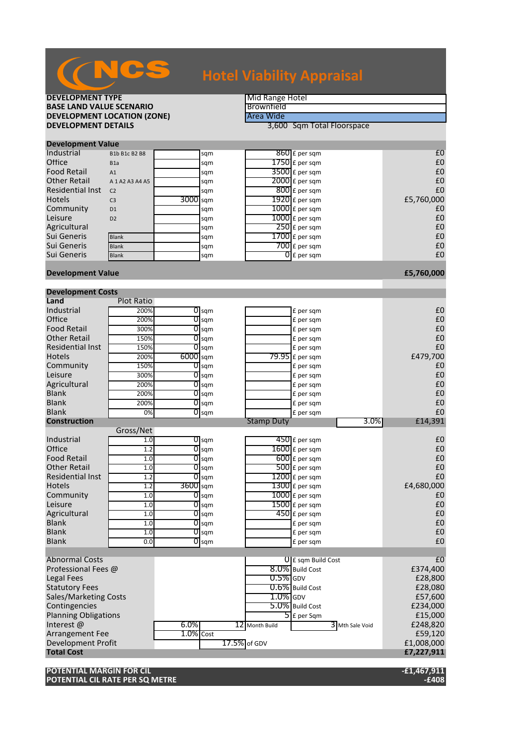| <b>DEVELOPMENT TYPE</b><br><b>BASE LAND VALUE SCENARIO</b><br><b>DEVELOPMENT LOCATION (ZONE)</b> |                                       |              |                    | Brownfield<br>Area Wide | Mid Range Hotel                         |                |  |  |
|--------------------------------------------------------------------------------------------------|---------------------------------------|--------------|--------------------|-------------------------|-----------------------------------------|----------------|--|--|
| <b>DEVELOPMENT DETAILS</b>                                                                       |                                       |              |                    |                         | 3,600 Sqm Total Floorspace              |                |  |  |
|                                                                                                  |                                       |              |                    |                         |                                         |                |  |  |
| <b>Development Value</b>                                                                         |                                       |              |                    |                         |                                         |                |  |  |
| Industrial                                                                                       | B1b B1c B2 B8                         |              | sqm                |                         | 860 £ per sqm                           | £0             |  |  |
| Office                                                                                           | B <sub>1</sub> a                      |              | sqm                |                         | $1750$ £ per sqm                        | £0             |  |  |
| <b>Food Retail</b><br><b>Other Retail</b>                                                        | A1                                    |              | sqm                |                         | $3500$ £ per sqm                        | £0<br>£0       |  |  |
| <b>Residential Inst</b>                                                                          | A 1 A 2 A 3 A 4 A 5<br>C <sub>2</sub> |              | sqm                |                         | $2000$ £ per sqm<br>$800$ £ per sqm     | £0             |  |  |
| Hotels                                                                                           | C <sub>3</sub>                        | 3000 sqm     | sqm                |                         | 1920 £ per sqm                          | £5,760,000     |  |  |
| Community                                                                                        | D <sub>1</sub>                        |              | sqm                |                         | $1000$ £ per sqm                        | £0             |  |  |
| Leisure                                                                                          | D <sub>2</sub>                        |              | sqm                |                         | $1000$ $f$ per sqm                      | £0             |  |  |
| Agricultural                                                                                     |                                       |              | sqm                |                         | $250$ £ per sqm                         | £0             |  |  |
| Sui Generis                                                                                      | <b>Blank</b>                          |              | sqm                |                         | $1700$ £ per sqm                        | £0             |  |  |
| Sui Generis                                                                                      | <b>Blank</b>                          |              | sqm                |                         | $700$ £ per sqm                         | £0             |  |  |
| Sui Generis                                                                                      | <b>Blank</b>                          |              | sqm                |                         | $\overline{0}$ £ per sqm                | £0             |  |  |
| <b>Development Value</b>                                                                         |                                       |              |                    |                         |                                         | £5,760,000     |  |  |
| <b>Development Costs</b>                                                                         |                                       |              |                    |                         |                                         |                |  |  |
| Land                                                                                             | <b>Plot Ratio</b>                     |              |                    |                         |                                         |                |  |  |
| Industrial                                                                                       | 200%                                  |              | $\overline{O}$ sqm |                         | £ per sqm                               | £0             |  |  |
| Office                                                                                           | 200%                                  | 0            | sqm                |                         | £ per sqm                               | £0             |  |  |
| <b>Food Retail</b>                                                                               | 300%                                  | 0            | sqm                |                         | £ per sqm                               | £0             |  |  |
| <b>Other Retail</b>                                                                              | 150%                                  | 0            | sqm                |                         | £ per sqm                               | £0             |  |  |
| <b>Residential Inst</b>                                                                          | 150%                                  |              | $\overline{0}$ sqm |                         | £ per sqm                               | £0             |  |  |
| Hotels                                                                                           | 200%                                  | $6000$ sqm   |                    |                         | $79.95$ £ per sqm                       | £479,700       |  |  |
| Community                                                                                        | 150%                                  |              | $\overline{O}$ sqm |                         | £ per sqm                               | £0             |  |  |
| Leisure                                                                                          | 300%                                  |              | $\overline{O}$ sqm |                         | £ per sqm                               | £0             |  |  |
| Agricultural<br><b>Blank</b>                                                                     | 200%                                  | 0<br>0       | sqm                |                         | £ per sqm                               | £0<br>£0       |  |  |
| <b>Blank</b>                                                                                     | 200%<br>200%                          | 0            | sqm                |                         | £ per sqm<br>£ per sqm                  | £0             |  |  |
| Blank                                                                                            | 0%                                    |              | sqm<br>$O$ sqm     |                         | £ per sqm                               | £0             |  |  |
| <b>Construction</b>                                                                              |                                       |              |                    | <b>Stamp Duty</b>       | 3.0%                                    | £14,391        |  |  |
|                                                                                                  | Gross/Net                             |              |                    |                         |                                         |                |  |  |
| Industrial                                                                                       | 1.0                                   |              | $\overline{0}$ sqm |                         | $450$ £ per sqm                         | £0             |  |  |
| Office                                                                                           | 1.2                                   |              | $\overline{0}$ sqm |                         | $1600 \text{ f}$ per sqm                | £0             |  |  |
| <b>Food Retail</b>                                                                               | 1.0                                   | 0            | sqm                |                         | $600$ £ per sqm                         | £0             |  |  |
| <b>Other Retail</b><br><b>Residential Inst</b>                                                   | 1.0                                   | 0<br>0       | sqm                |                         | $500$ £ per sqm                         | £0<br>£0       |  |  |
| <b>Hotels</b>                                                                                    | 1.2                                   |              | sqm                |                         | $1200$ £ per sqm<br>$1300$ £ per sqm    | £4,680,000     |  |  |
| Community                                                                                        | 1.2<br>1.0                            | 3bUU sqm     | $\overline{0}$ sqm |                         | $1000$ $E$ per sqm                      | £0             |  |  |
| Leisure                                                                                          | 1.0                                   | 0            | sqm                |                         | $1500$ £ per sqm                        | £0             |  |  |
| Agricultural                                                                                     | 1.0                                   | 0            | sqm                |                         | $450$ £ per sqm                         | £0             |  |  |
| <b>Blank</b>                                                                                     | 1.0                                   |              | $\overline{0}$ sqm |                         | £ per sqm                               | £0             |  |  |
| <b>Blank</b>                                                                                     | 1.0                                   |              | $\overline{0}$ sqm |                         | £ per sqm                               | £0             |  |  |
| <b>Blank</b>                                                                                     | 0.0                                   |              | $\overline{O}$ sqm |                         | £ per sqm                               | £0             |  |  |
|                                                                                                  |                                       |              |                    |                         |                                         | f <sub>0</sub> |  |  |
| <b>Abnormal Costs</b><br>Professional Fees @                                                     |                                       |              |                    |                         | $0$ E sqm Build Cost<br>8.0% Build Cost | £374,400       |  |  |
| Legal Fees                                                                                       |                                       |              |                    | $0.5\%$ GDV             |                                         | £28,800        |  |  |
| <b>Statutory Fees</b>                                                                            |                                       |              |                    |                         | 0.6% Build Cost                         | £28,080        |  |  |
| Sales/Marketing Costs                                                                            |                                       |              |                    | $1.0\%$ GDV             |                                         | £57,600        |  |  |
| Contingencies                                                                                    |                                       |              |                    |                         | 5.0% Build Cost                         | £234,000       |  |  |
| <b>Planning Obligations</b>                                                                      |                                       |              |                    |                         | $\overline{5}$ E per Sqm                | £15,000        |  |  |
| Interest @                                                                                       |                                       | $6.0\%$      |                    | 12 Month Build          | 3 Mth Sale Void                         | £248,820       |  |  |
| <b>Arrangement Fee</b>                                                                           |                                       | $1.0\%$ Cost |                    |                         |                                         | £59,120        |  |  |
| Development Profit<br>17.5% of GDV                                                               |                                       |              |                    |                         |                                         | £1,008,000     |  |  |
| <b>Total Cost</b>                                                                                |                                       |              |                    |                         |                                         | £7,227,911     |  |  |
|                                                                                                  |                                       |              |                    |                         |                                         |                |  |  |

**POTENTIAL MARGIN FOR CIL -£1,467,911 POTENTIAL CIL RATE PER SQ METRE -£408**

## NCS **Hotel Viability Appraisal**